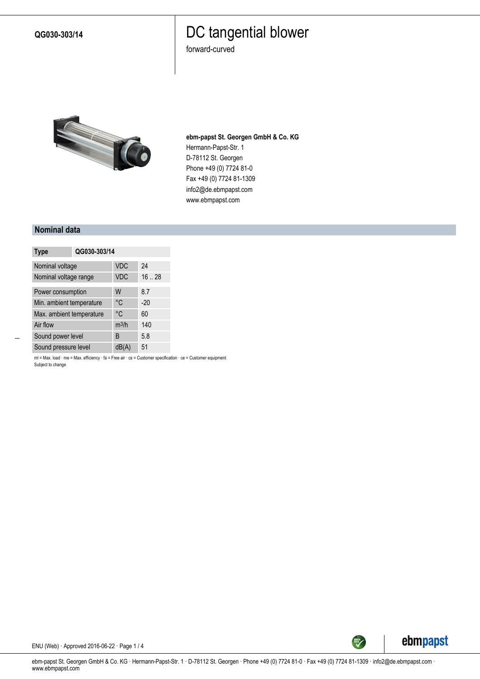**QG030-303/14**

### DC tangential blower

forward-curved



**ebm-papst St. Georgen GmbH & Co. KG** Hermann-Papst-Str. 1 D-78112 St. Georgen Phone +49 (0) 7724 81-0 Fax +49 (0) 7724 81-1309 info2@de.ebmpapst.com www.ebmpapst.com

#### **Nominal data**

| <b>Type</b>              | QG030-303/14 |            |       |
|--------------------------|--------------|------------|-------|
| Nominal voltage          |              | <b>VDC</b> | 24    |
| Nominal voltage range    |              | <b>VDC</b> | 16.28 |
| Power consumption        |              | W          | 8.7   |
| Min. ambient temperature |              | °C         | $-20$ |
| Max. ambient temperature |              | °C         | 60    |
| Air flow                 |              | $m^3/h$    | 140   |
| Sound power level        |              | B          | 5.8   |
| Sound pressure level     |              | dB(A)      | 51    |

ml = Max. load · me = Max. efficiency · fa = Free air · cs = Customer specification · ce = Customer equipment Subject to change



ENU (Web) · Approved 2016-06-22 · Page 1 / 4

ebm-papst St. Georgen GmbH & Co. KG · Hermann-Papst-Str. 1 · D-78112 St. Georgen · Phone +49 (0) 7724 81-0 · Fax +49 (0) 7724 81-1309 · info2@de.ebmpapst.com · www.ebmpapst.com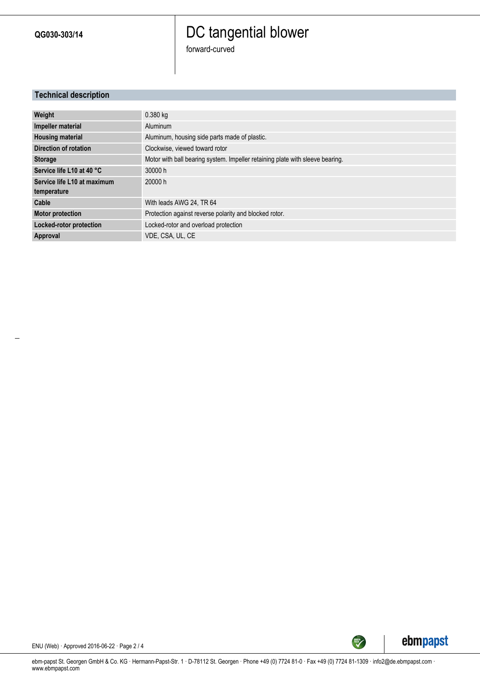**QG030-303/14**

## DC tangential blower

forward-curved

### **Technical description**

| Weight                      | $0.380$ kg                                                                    |
|-----------------------------|-------------------------------------------------------------------------------|
| Impeller material           | Aluminum                                                                      |
| <b>Housing material</b>     | Aluminum, housing side parts made of plastic.                                 |
| Direction of rotation       | Clockwise, viewed toward rotor                                                |
| <b>Storage</b>              | Motor with ball bearing system. Impeller retaining plate with sleeve bearing. |
| Service life L10 at 40 °C   | 30000 h                                                                       |
| Service life L10 at maximum | 20000 h                                                                       |
| temperature                 |                                                                               |
| Cable                       | With leads AWG 24, TR 64                                                      |
| <b>Motor protection</b>     | Protection against reverse polarity and blocked rotor.                        |
| Locked-rotor protection     | Locked-rotor and overload protection                                          |
| Approval                    | VDE, CSA, UL, CE                                                              |



ENU (Web) · Approved 2016-06-22 · Page 2 / 4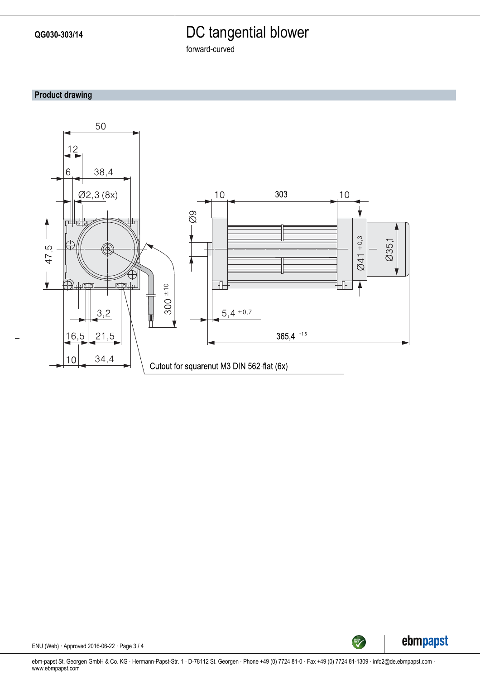### DC tangential blower

forward-curved

### **Product drawing**





ENU (Web) · Approved 2016-06-22 · Page 3 / 4

ebm-papst St. Georgen GmbH & Co. KG · Hermann-Papst-Str. 1 · D-78112 St. Georgen · Phone +49 (0) 7724 81-0 · Fax +49 (0) 7724 81-1309 · info2@de.ebmpapst.com · www.ebmpapst.com